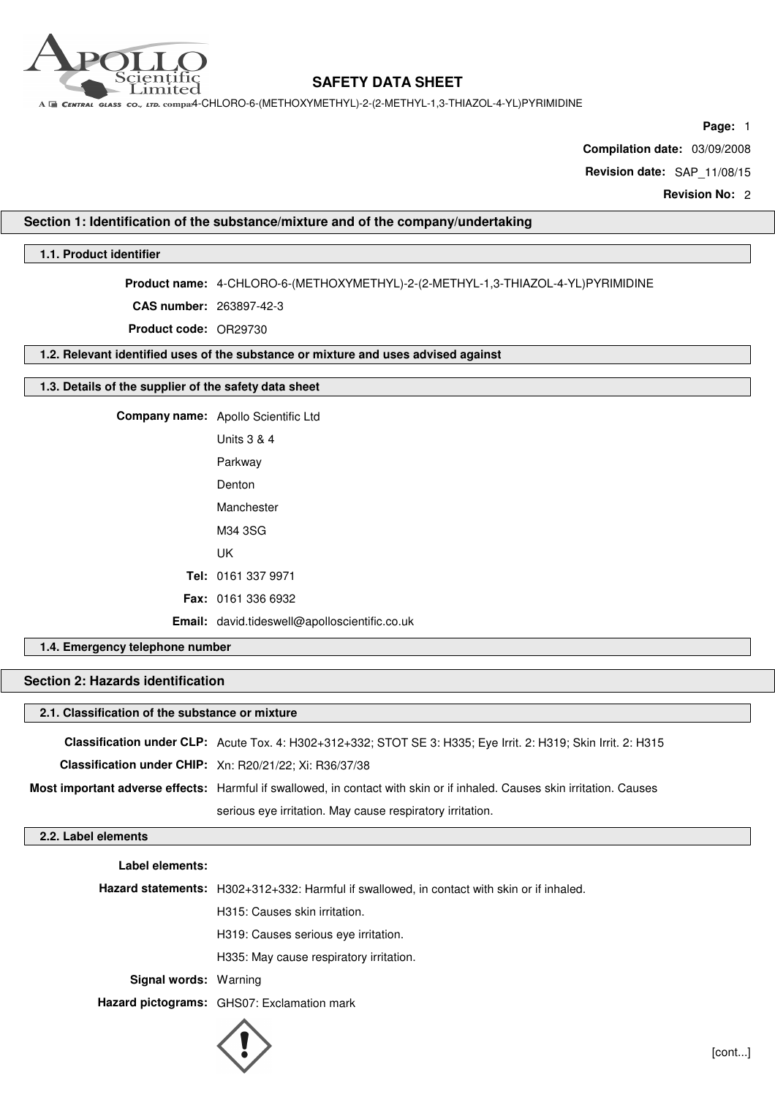

A E CENTRAL GLASS CO., LTD. COMPA4-CHLORO-6-(METHOXYMETHYL)-2-(2-METHYL-1,3-THIAZOL-4-YL)PYRIMIDINE

**Page:** 1

**Compilation date:** 03/09/2008

**Revision date:** SAP\_11/08/15

**Revision No:** 2

## **Section 1: Identification of the substance/mixture and of the company/undertaking**

## **1.1. Product identifier**

**Product name:** 4-CHLORO-6-(METHOXYMETHYL)-2-(2-METHYL-1,3-THIAZOL-4-YL)PYRIMIDINE

**CAS number:** 263897-42-3

**Product code:** OR29730

**1.2. Relevant identified uses of the substance or mixture and uses advised against**

### **1.3. Details of the supplier of the safety data sheet**

| Company name: Apollo Scientific Ltd           |
|-----------------------------------------------|
| Units 3 & 4                                   |
| Parkway                                       |
| Denton                                        |
| Manchester                                    |
| M34 3SG                                       |
| UK                                            |
| Tel: 0161 337 9971                            |
| <b>Fax: 0161 336 6932</b>                     |
| Email: david.tideswell@apolloscientific.co.uk |

## **1.4. Emergency telephone number**

# **Section 2: Hazards identification**

### **2.1. Classification of the substance or mixture**

| Classification under CLP: Acute Tox. 4: H302+312+332; STOT SE 3: H335; Eye Irrit. 2: H319; Skin Irrit. 2: H315           |
|--------------------------------------------------------------------------------------------------------------------------|
| Classification under CHIP: Xn: R20/21/22; Xi: R36/37/38                                                                  |
| Most important adverse effects: Harmful if swallowed, in contact with skin or if inhaled. Causes skin irritation. Causes |
| serious eye irritation. May cause respiratory irritation.                                                                |

### **2.2. Label elements**

**Label elements:**

**Hazard statements:** H302+312+332: Harmful if swallowed, in contact with skin or if inhaled.

H315: Causes skin irritation.

H319: Causes serious eye irritation.

H335: May cause respiratory irritation.

**Signal words:** Warning

**Hazard pictograms:** GHS07: Exclamation mark

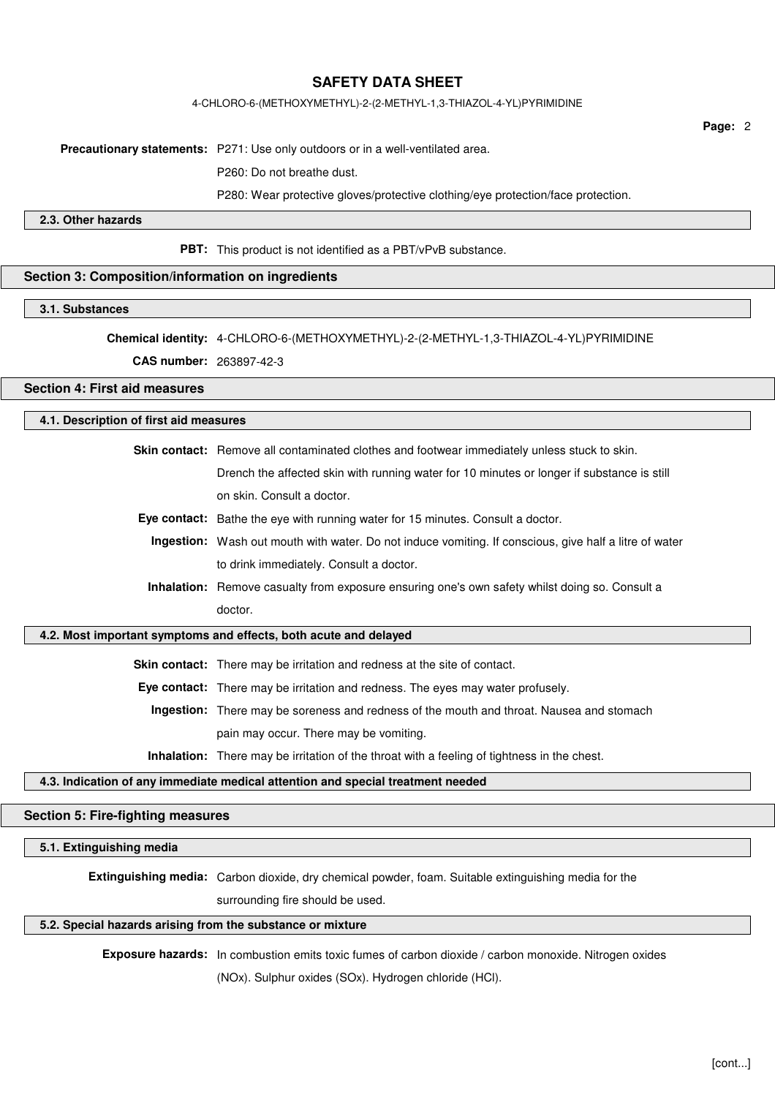### 4-CHLORO-6-(METHOXYMETHYL)-2-(2-METHYL-1,3-THIAZOL-4-YL)PYRIMIDINE

**Page:** 2

**Precautionary statements:** P271: Use only outdoors or in a well-ventilated area.

P260: Do not breathe dust.

P280: Wear protective gloves/protective clothing/eye protection/face protection.

## **2.3. Other hazards**

**PBT:** This product is not identified as a PBT/vPvB substance.

## **Section 3: Composition/information on ingredients**

### **3.1. Substances**

**Chemical identity:** 4-CHLORO-6-(METHOXYMETHYL)-2-(2-METHYL-1,3-THIAZOL-4-YL)PYRIMIDINE

**CAS number:** 263897-42-3

## **Section 4: First aid measures**

## **4.1. Description of first aid measures**

**Skin contact:** Remove all contaminated clothes and footwear immediately unless stuck to skin. Drench the affected skin with running water for 10 minutes or longer if substance is still on skin. Consult a doctor.

- **Eye contact:** Bathe the eye with running water for 15 minutes. Consult a doctor.
- **Ingestion:** Wash out mouth with water. Do not induce vomiting. If conscious, give half a litre of water to drink immediately. Consult a doctor.
- **Inhalation:** Remove casualty from exposure ensuring one's own safety whilst doing so. Consult a doctor.

### **4.2. Most important symptoms and effects, both acute and delayed**

**Skin contact:** There may be irritation and redness at the site of contact.

**Eye contact:** There may be irritation and redness. The eyes may water profusely.

**Ingestion:** There may be soreness and redness of the mouth and throat. Nausea and stomach pain may occur. There may be vomiting.

**Inhalation:** There may be irritation of the throat with a feeling of tightness in the chest.

### **4.3. Indication of any immediate medical attention and special treatment needed**

### **Section 5: Fire-fighting measures**

### **5.1. Extinguishing media**

**Extinguishing media:** Carbon dioxide, dry chemical powder, foam. Suitable extinguishing media for the surrounding fire should be used.

## **5.2. Special hazards arising from the substance or mixture**

**Exposure hazards:** In combustion emits toxic fumes of carbon dioxide / carbon monoxide. Nitrogen oxides

(NOx). Sulphur oxides (SOx). Hydrogen chloride (HCl).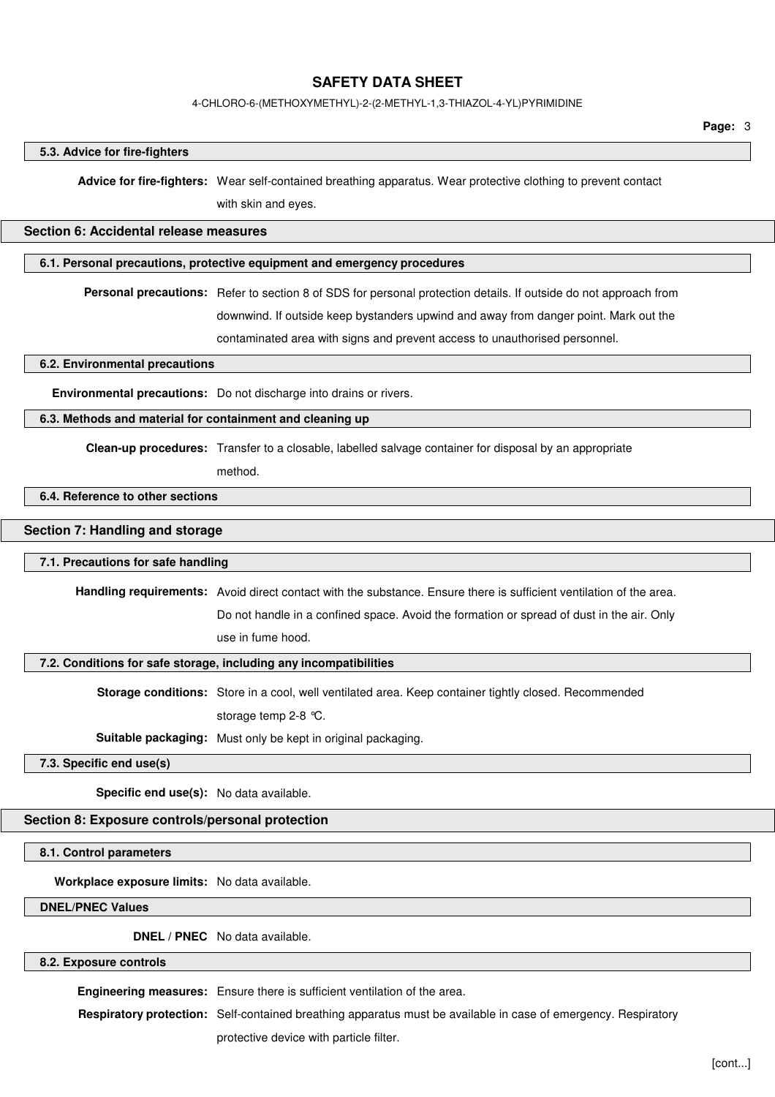### 4-CHLORO-6-(METHOXYMETHYL)-2-(2-METHYL-1,3-THIAZOL-4-YL)PYRIMIDINE

#### **5.3. Advice for fire-fighters**

**Advice for fire-fighters:** Wear self-contained breathing apparatus. Wear protective clothing to prevent contact

with skin and eyes.

### **Section 6: Accidental release measures**

### **6.1. Personal precautions, protective equipment and emergency procedures**

**Personal precautions:** Refer to section 8 of SDS for personal protection details. If outside do not approach from

downwind. If outside keep bystanders upwind and away from danger point. Mark out the

contaminated area with signs and prevent access to unauthorised personnel.

**6.2. Environmental precautions**

**Environmental precautions:** Do not discharge into drains or rivers.

## **6.3. Methods and material for containment and cleaning up**

**Clean-up procedures:** Transfer to a closable, labelled salvage container for disposal by an appropriate

method.

#### **6.4. Reference to other sections**

### **Section 7: Handling and storage**

### **7.1. Precautions for safe handling**

**Handling requirements:** Avoid direct contact with the substance. Ensure there is sufficient ventilation of the area.

Do not handle in a confined space. Avoid the formation or spread of dust in the air. Only use in fume hood.

## **7.2. Conditions for safe storage, including any incompatibilities**

**Storage conditions:** Store in a cool, well ventilated area. Keep container tightly closed. Recommended

storage temp 2-8 °C.

**Suitable packaging:** Must only be kept in original packaging.

**7.3. Specific end use(s)**

**Specific end use(s):** No data available.

## **Section 8: Exposure controls/personal protection**

**8.1. Control parameters**

**Workplace exposure limits:** No data available.

**DNEL/PNEC Values**

**DNEL / PNEC** No data available.

## **8.2. Exposure controls**

**Engineering measures:** Ensure there is sufficient ventilation of the area.

**Respiratory protection:** Self-contained breathing apparatus must be available in case of emergency. Respiratory

protective device with particle filter.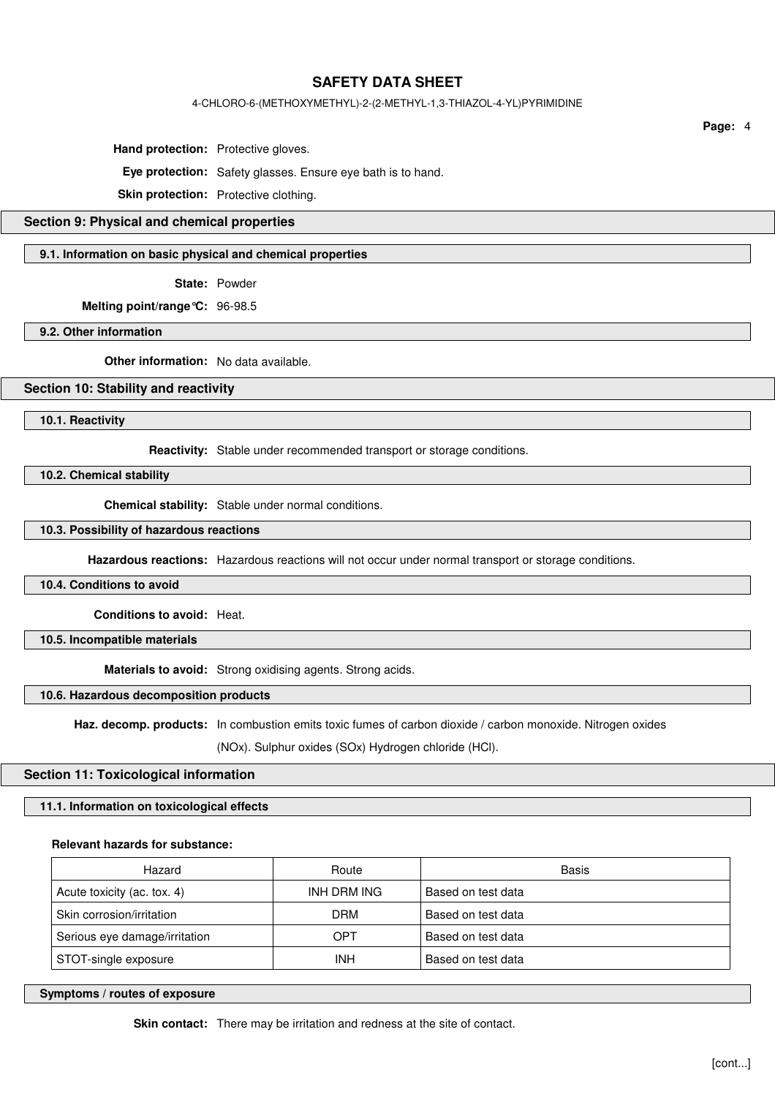## 4-CHLORO-6-(METHOXYMETHYL)-2-(2-METHYL-1,3-THIAZOL-4-YL)PYRIMIDINE

**Hand protection:** Protective gloves.

**Eye protection:** Safety glasses. Ensure eye bath is to hand.

**Skin protection:** Protective clothing.

# **Section 9: Physical and chemical properties**

### **9.1. Information on basic physical and chemical properties**

**State:** Powder

**Melting point/range°C:** 96-98.5

**9.2. Other information**

**Other information:** No data available.

### **Section 10: Stability and reactivity**

**10.1. Reactivity**

**Reactivity:** Stable under recommended transport or storage conditions.

**10.2. Chemical stability**

**Chemical stability:** Stable under normal conditions.

### **10.3. Possibility of hazardous reactions**

**Hazardous reactions:** Hazardous reactions will not occur under normal transport or storage conditions.

**10.4. Conditions to avoid**

**Conditions to avoid:** Heat.

**10.5. Incompatible materials**

**Materials to avoid:** Strong oxidising agents. Strong acids.

## **10.6. Hazardous decomposition products**

Haz. decomp. products: In combustion emits toxic fumes of carbon dioxide / carbon monoxide. Nitrogen oxides

(NOx). Sulphur oxides (SOx) Hydrogen chloride (HCl).

### **Section 11: Toxicological information**

### **11.1. Information on toxicological effects**

#### **Relevant hazards for substance:**

| Hazard                        | Route       | Basis              |
|-------------------------------|-------------|--------------------|
| Acute toxicity (ac. tox. 4)   | INH DRM ING | Based on test data |
| Skin corrosion/irritation     | DRM         | Based on test data |
| Serious eye damage/irritation | OPT         | Based on test data |
| STOT-single exposure          | <b>INH</b>  | Based on test data |

### **Symptoms / routes of exposure**

**Skin contact:** There may be irritation and redness at the site of contact.

**Page:** 4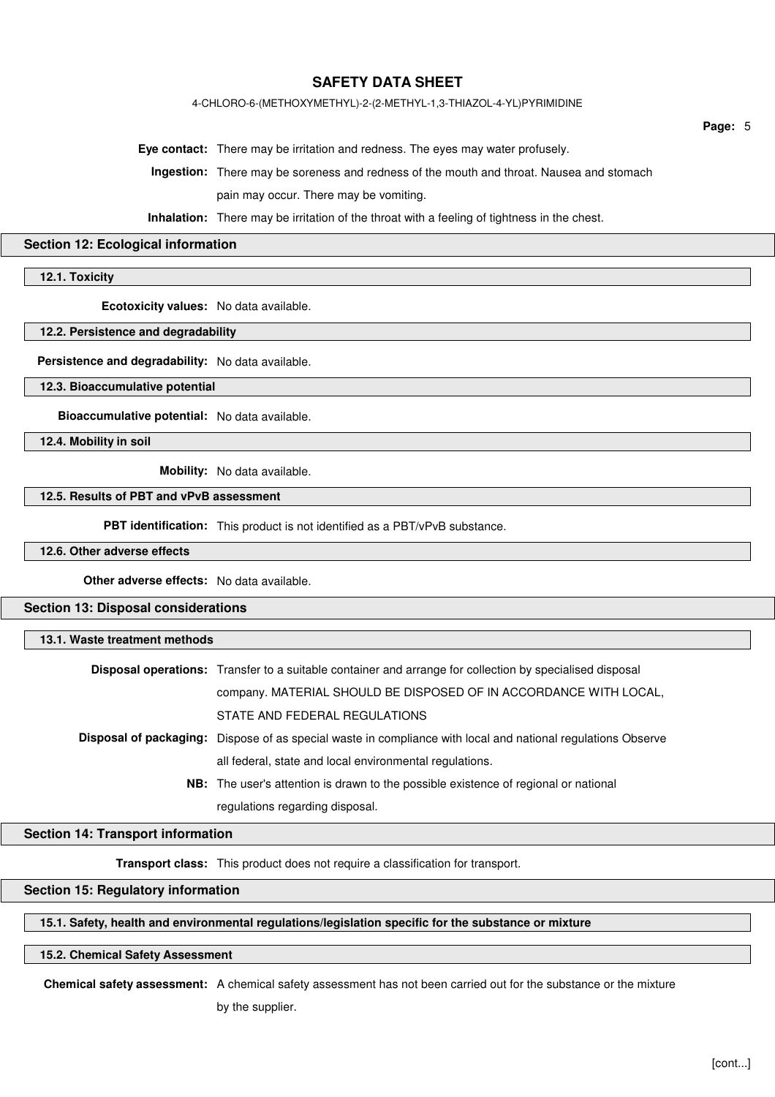## 4-CHLORO-6-(METHOXYMETHYL)-2-(2-METHYL-1,3-THIAZOL-4-YL)PYRIMIDINE

**Eye contact:** There may be irritation and redness. The eyes may water profusely.

**Ingestion:** There may be soreness and redness of the mouth and throat. Nausea and stomach pain may occur. There may be vomiting.

**Inhalation:** There may be irritation of the throat with a feeling of tightness in the chest.

#### **Section 12: Ecological information**

**12.1. Toxicity**

**Ecotoxicity values:** No data available.

#### **12.2. Persistence and degradability**

**Persistence and degradability:** No data available.

**12.3. Bioaccumulative potential**

**Bioaccumulative potential:** No data available.

**12.4. Mobility in soil**

**Mobility:** No data available.

### **12.5. Results of PBT and vPvB assessment**

**PBT identification:** This product is not identified as a PBT/vPvB substance.

#### **12.6. Other adverse effects**

**Other adverse effects:** No data available.

## **Section 13: Disposal considerations**

### **13.1. Waste treatment methods**

| <b>Disposal operations:</b> Transfer to a suitable container and arrange for collection by specialised disposal |
|-----------------------------------------------------------------------------------------------------------------|
| company. MATERIAL SHOULD BE DISPOSED OF IN ACCORDANCE WITH LOCAL,                                               |
| STATE AND FEDERAL REGULATIONS                                                                                   |
| Disposal of packaging: Dispose of as special waste in compliance with local and national regulations Observe    |
| all federal, state and local environmental regulations.                                                         |
| <b>NB:</b> The user's attention is drawn to the possible existence of regional or national                      |
| regulations regarding disposal.                                                                                 |

## **Section 14: Transport information**

**Transport class:** This product does not require a classification for transport.

### **Section 15: Regulatory information**

## **15.1. Safety, health and environmental regulations/legislation specific for the substance or mixture**

### **15.2. Chemical Safety Assessment**

**Chemical safety assessment:** A chemical safety assessment has not been carried out for the substance or the mixture

by the supplier.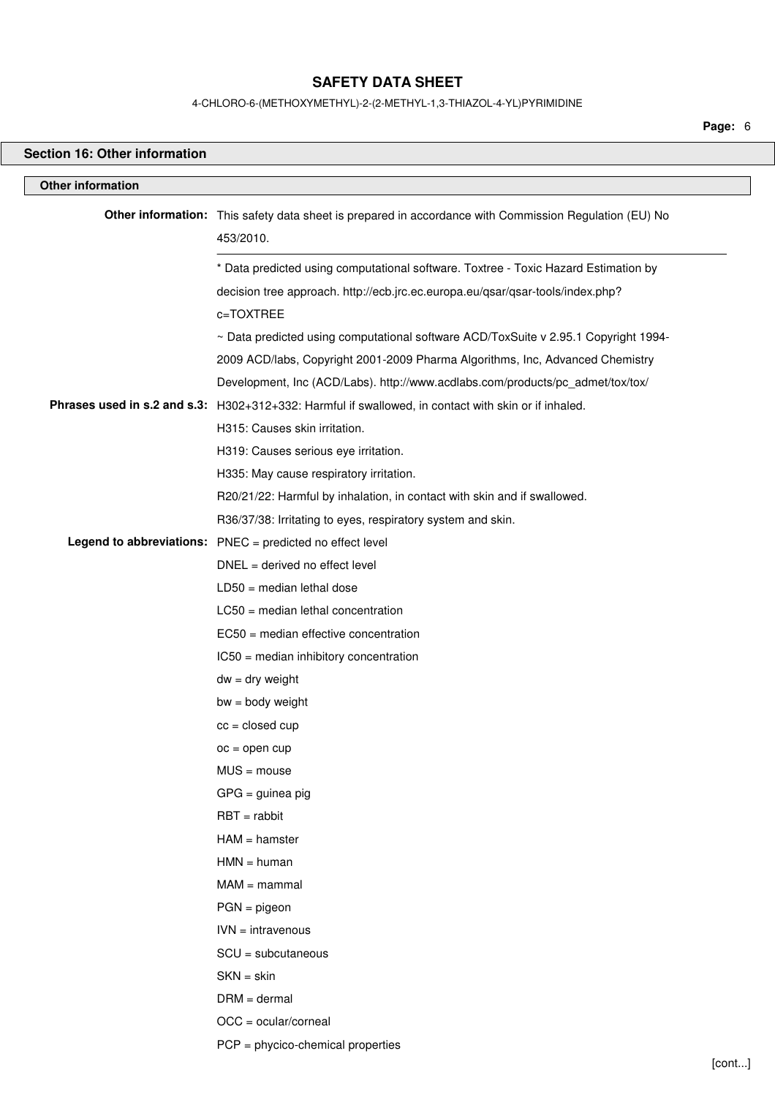4-CHLORO-6-(METHOXYMETHYL)-2-(2-METHYL-1,3-THIAZOL-4-YL)PYRIMIDINE

**Page:** 6

| <b>Section 16: Other information</b> |                                                                                                                     |        |
|--------------------------------------|---------------------------------------------------------------------------------------------------------------------|--------|
| <b>Other information</b>             |                                                                                                                     |        |
|                                      | Other information: This safety data sheet is prepared in accordance with Commission Regulation (EU) No<br>453/2010. |        |
|                                      | * Data predicted using computational software. Toxtree - Toxic Hazard Estimation by                                 |        |
|                                      | decision tree approach. http://ecb.jrc.ec.europa.eu/qsar/qsar-tools/index.php?                                      |        |
|                                      | c=TOXTREE                                                                                                           |        |
|                                      | ~ Data predicted using computational software ACD/ToxSuite v 2.95.1 Copyright 1994-                                 |        |
|                                      | 2009 ACD/labs, Copyright 2001-2009 Pharma Algorithms, Inc, Advanced Chemistry                                       |        |
|                                      | Development, Inc (ACD/Labs). http://www.acdlabs.com/products/pc_admet/tox/tox/                                      |        |
|                                      | Phrases used in s.2 and s.3: H302+312+332: Harmful if swallowed, in contact with skin or if inhaled.                |        |
|                                      | H315: Causes skin irritation.                                                                                       |        |
|                                      | H319: Causes serious eye irritation.                                                                                |        |
|                                      | H335: May cause respiratory irritation.                                                                             |        |
|                                      | R20/21/22: Harmful by inhalation, in contact with skin and if swallowed.                                            |        |
|                                      | R36/37/38: Irritating to eyes, respiratory system and skin.                                                         |        |
|                                      | Legend to abbreviations: PNEC = predicted no effect level<br>$DNEL = derived no effect level$                       |        |
|                                      | $LD50 = median$ lethal dose                                                                                         |        |
|                                      | $LC50$ = median lethal concentration                                                                                |        |
|                                      | EC50 = median effective concentration                                                                               |        |
|                                      | IC50 = median inhibitory concentration                                                                              |        |
|                                      | $dw = dry$ weight                                                                                                   |        |
|                                      | $bw = body weight$                                                                                                  |        |
|                                      | $cc = closed cup$                                                                                                   |        |
|                                      | $oc = open cup$                                                                                                     |        |
|                                      | $MUS = mouse$                                                                                                       |        |
|                                      | $GPG =$ guinea pig                                                                                                  |        |
|                                      | $RBT = rabbit$                                                                                                      |        |
|                                      | $HAM = hamster$                                                                                                     |        |
|                                      | $HMN = human$                                                                                                       |        |
|                                      | $MAM = mammal$                                                                                                      |        |
|                                      | $PGN = pigeon$                                                                                                      |        |
|                                      | $IVN = intravenous$                                                                                                 |        |
|                                      | $SCU = subcutaneous$                                                                                                |        |
|                                      | $SKN = skin$                                                                                                        |        |
|                                      | $DRM = dermal$                                                                                                      |        |
|                                      | $OCC = ocular/corneal$                                                                                              |        |
|                                      | $PCP = phycico$ -chemical properties                                                                                |        |
|                                      |                                                                                                                     | [cont] |